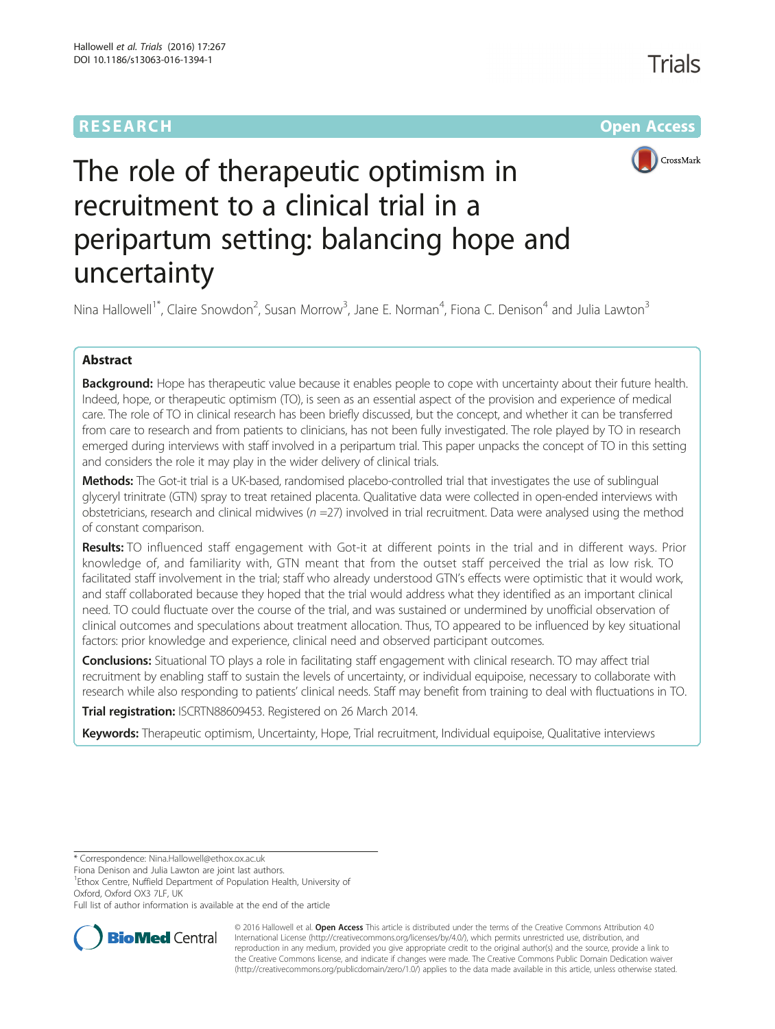# **RESEARCH CHE Open Access**



# The role of therapeutic optimism in recruitment to a clinical trial in a peripartum setting: balancing hope and uncertainty

Nina Hallowell<sup>1\*</sup>, Claire Snowdon<sup>2</sup>, Susan Morrow<sup>3</sup>, Jane E. Norman<sup>4</sup>, Fiona C. Denison<sup>4</sup> and Julia Lawton<sup>3</sup>

# Abstract

Background: Hope has therapeutic value because it enables people to cope with uncertainty about their future health. Indeed, hope, or therapeutic optimism (TO), is seen as an essential aspect of the provision and experience of medical care. The role of TO in clinical research has been briefly discussed, but the concept, and whether it can be transferred from care to research and from patients to clinicians, has not been fully investigated. The role played by TO in research emerged during interviews with staff involved in a peripartum trial. This paper unpacks the concept of TO in this setting and considers the role it may play in the wider delivery of clinical trials.

Methods: The Got-it trial is a UK-based, randomised placebo-controlled trial that investigates the use of sublingual glyceryl trinitrate (GTN) spray to treat retained placenta. Qualitative data were collected in open-ended interviews with obstetricians, research and clinical midwives ( $n = 27$ ) involved in trial recruitment. Data were analysed using the method of constant comparison.

Results: TO influenced staff engagement with Got-it at different points in the trial and in different ways. Prior knowledge of, and familiarity with, GTN meant that from the outset staff perceived the trial as low risk. TO facilitated staff involvement in the trial; staff who already understood GTN's effects were optimistic that it would work, and staff collaborated because they hoped that the trial would address what they identified as an important clinical need. TO could fluctuate over the course of the trial, and was sustained or undermined by unofficial observation of clinical outcomes and speculations about treatment allocation. Thus, TO appeared to be influenced by key situational factors: prior knowledge and experience, clinical need and observed participant outcomes.

Conclusions: Situational TO plays a role in facilitating staff engagement with clinical research. TO may affect trial recruitment by enabling staff to sustain the levels of uncertainty, or individual equipoise, necessary to collaborate with research while also responding to patients' clinical needs. Staff may benefit from training to deal with fluctuations in TO.

Trial registration: [ISCRTN88609453.](http://www.isrctn.com/ISRCTN88609453?q=retained%20placenta&filters=&sort) Registered on 26 March 2014.

Keywords: Therapeutic optimism, Uncertainty, Hope, Trial recruitment, Individual equipoise, Qualitative interviews

\* Correspondence: [Nina.Hallowell@ethox.ox.ac.uk](mailto:Nina.Hallowell@ethox.ox.ac.uk)

Fiona Denison and Julia Lawton are joint last authors.

<sup>1</sup> Ethox Centre, Nuffield Department of Population Health, University of Oxford, Oxford OX3 7LF, UK

Full list of author information is available at the end of the article



© 2016 Hallowell et al. **Open Access** This article is distributed under the terms of the Creative Commons Attribution 4.0 International License [\(http://creativecommons.org/licenses/by/4.0/](http://creativecommons.org/licenses/by/4.0/)), which permits unrestricted use, distribution, and reproduction in any medium, provided you give appropriate credit to the original author(s) and the source, provide a link to the Creative Commons license, and indicate if changes were made. The Creative Commons Public Domain Dedication waiver [\(http://creativecommons.org/publicdomain/zero/1.0/](http://creativecommons.org/publicdomain/zero/1.0/)) applies to the data made available in this article, unless otherwise stated.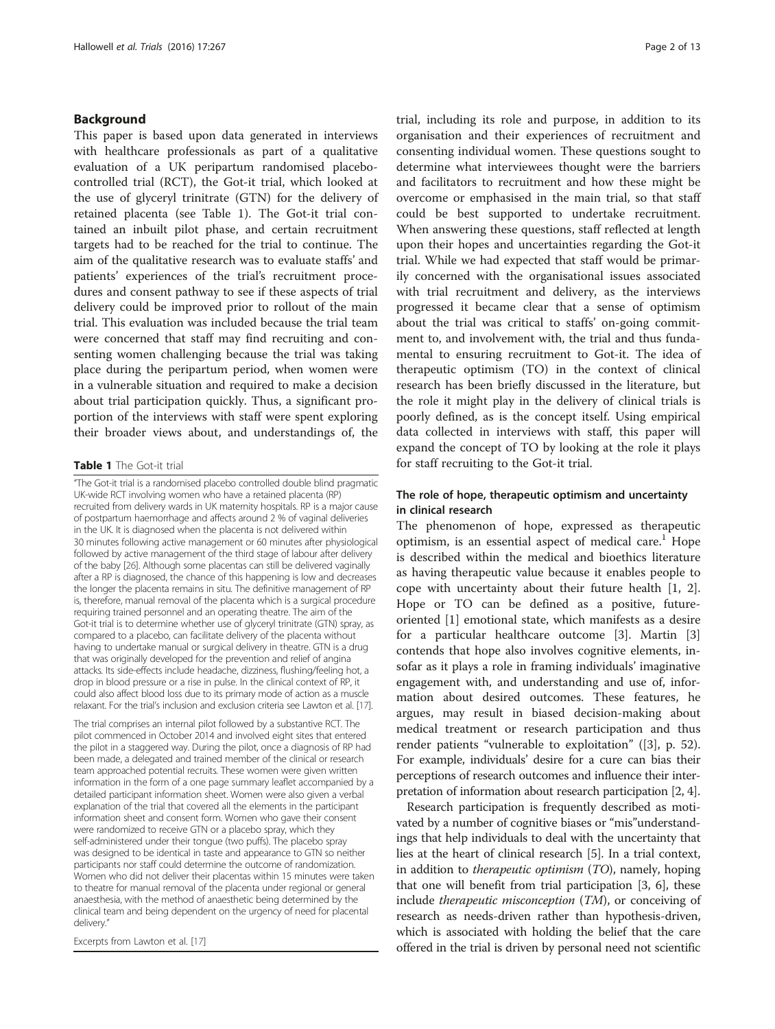#### <span id="page-1-0"></span>Background

This paper is based upon data generated in interviews with healthcare professionals as part of a qualitative evaluation of a UK peripartum randomised placebocontrolled trial (RCT), the Got-it trial, which looked at the use of glyceryl trinitrate (GTN) for the delivery of retained placenta (see Table 1). The Got-it trial contained an inbuilt pilot phase, and certain recruitment targets had to be reached for the trial to continue. The aim of the qualitative research was to evaluate staffs' and patients' experiences of the trial's recruitment procedures and consent pathway to see if these aspects of trial delivery could be improved prior to rollout of the main trial. This evaluation was included because the trial team were concerned that staff may find recruiting and consenting women challenging because the trial was taking place during the peripartum period, when women were in a vulnerable situation and required to make a decision about trial participation quickly. Thus, a significant proportion of the interviews with staff were spent exploring their broader views about, and understandings of, the

#### Table 1 The Got-it trial

"The Got-it trial is a randomised placebo controlled double blind pragmatic UK-wide RCT involving women who have a retained placenta (RP) recruited from delivery wards in UK maternity hospitals. RP is a major cause of postpartum haemorrhage and affects around 2 % of vaginal deliveries in the UK. It is diagnosed when the placenta is not delivered within 30 minutes following active management or 60 minutes after physiological followed by active management of the third stage of labour after delivery of the baby [[26](#page-12-0)]. Although some placentas can still be delivered vaginally after a RP is diagnosed, the chance of this happening is low and decreases the longer the placenta remains in situ. The definitive management of RP is, therefore, manual removal of the placenta which is a surgical procedure requiring trained personnel and an operating theatre. The aim of the Got-it trial is to determine whether use of glyceryl trinitrate (GTN) spray, as compared to a placebo, can facilitate delivery of the placenta without having to undertake manual or surgical delivery in theatre. GTN is a drug that was originally developed for the prevention and relief of angina attacks. Its side-effects include headache, dizziness, flushing/feeling hot, a drop in blood pressure or a rise in pulse. In the clinical context of RP, it could also affect blood loss due to its primary mode of action as a muscle relaxant. For the trial's inclusion and exclusion criteria see Lawton et al. [\[17](#page-12-0)].

The trial comprises an internal pilot followed by a substantive RCT. The pilot commenced in October 2014 and involved eight sites that entered the pilot in a staggered way. During the pilot, once a diagnosis of RP had been made, a delegated and trained member of the clinical or research team approached potential recruits. These women were given written information in the form of a one page summary leaflet accompanied by a detailed participant information sheet. Women were also given a verbal explanation of the trial that covered all the elements in the participant information sheet and consent form. Women who gave their consent were randomized to receive GTN or a placebo spray, which they self-administered under their tongue (two puffs). The placebo spray was designed to be identical in taste and appearance to GTN so neither participants nor staff could determine the outcome of randomization. Women who did not deliver their placentas within 15 minutes were taken to theatre for manual removal of the placenta under regional or general anaesthesia, with the method of anaesthetic being determined by the clinical team and being dependent on the urgency of need for placental delivery."

Excerpts from Lawton et al. [[17](#page-12-0)]

trial, including its role and purpose, in addition to its organisation and their experiences of recruitment and consenting individual women. These questions sought to determine what interviewees thought were the barriers and facilitators to recruitment and how these might be overcome or emphasised in the main trial, so that staff could be best supported to undertake recruitment. When answering these questions, staff reflected at length upon their hopes and uncertainties regarding the Got-it trial. While we had expected that staff would be primarily concerned with the organisational issues associated with trial recruitment and delivery, as the interviews progressed it became clear that a sense of optimism about the trial was critical to staffs' on-going commitment to, and involvement with, the trial and thus fundamental to ensuring recruitment to Got-it. The idea of therapeutic optimism (TO) in the context of clinical research has been briefly discussed in the literature, but the role it might play in the delivery of clinical trials is poorly defined, as is the concept itself. Using empirical data collected in interviews with staff, this paper will expand the concept of TO by looking at the role it plays for staff recruiting to the Got-it trial.

## The role of hope, therapeutic optimism and uncertainty in clinical research

The phenomenon of hope, expressed as therapeutic optimism, is an essential aspect of medical care.<sup>1</sup> Hope is described within the medical and bioethics literature as having therapeutic value because it enables people to cope with uncertainty about their future health [[1](#page-12-0), [2](#page-12-0)]. Hope or TO can be defined as a positive, futureoriented [\[1](#page-12-0)] emotional state, which manifests as a desire for a particular healthcare outcome [\[3](#page-12-0)]. Martin [\[3](#page-12-0)] contends that hope also involves cognitive elements, insofar as it plays a role in framing individuals' imaginative engagement with, and understanding and use of, information about desired outcomes. These features, he argues, may result in biased decision-making about medical treatment or research participation and thus render patients "vulnerable to exploitation" ([\[3](#page-12-0)], p. 52). For example, individuals' desire for a cure can bias their perceptions of research outcomes and influence their interpretation of information about research participation [\[2, 4](#page-12-0)].

Research participation is frequently described as motivated by a number of cognitive biases or "mis"understandings that help individuals to deal with the uncertainty that lies at the heart of clinical research [\[5](#page-12-0)]. In a trial context, in addition to therapeutic optimism (TO), namely, hoping that one will benefit from trial participation [\[3](#page-12-0), [6\]](#page-12-0), these include therapeutic misconception (TM), or conceiving of research as needs-driven rather than hypothesis-driven, which is associated with holding the belief that the care offered in the trial is driven by personal need not scientific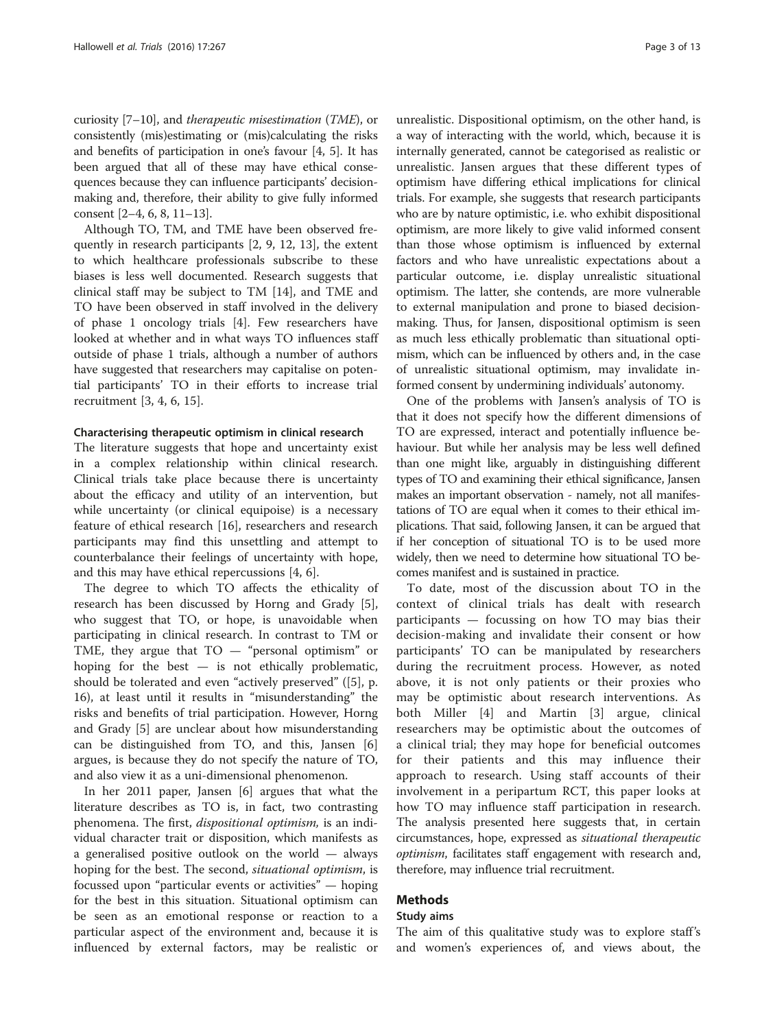curiosity [\[7](#page-12-0)–[10](#page-12-0)], and therapeutic misestimation (TME), or consistently (mis)estimating or (mis)calculating the risks and benefits of participation in one's favour [[4, 5](#page-12-0)]. It has been argued that all of these may have ethical consequences because they can influence participants' decisionmaking and, therefore, their ability to give fully informed consent [\[2](#page-12-0)–[4](#page-12-0), [6](#page-12-0), [8](#page-12-0), [11](#page-12-0)–[13\]](#page-12-0).

Although TO, TM, and TME have been observed frequently in research participants [\[2, 9](#page-12-0), [12, 13](#page-12-0)], the extent to which healthcare professionals subscribe to these biases is less well documented. Research suggests that clinical staff may be subject to TM [\[14](#page-12-0)], and TME and TO have been observed in staff involved in the delivery of phase 1 oncology trials [\[4\]](#page-12-0). Few researchers have looked at whether and in what ways TO influences staff outside of phase 1 trials, although a number of authors have suggested that researchers may capitalise on potential participants' TO in their efforts to increase trial recruitment [\[3](#page-12-0), [4](#page-12-0), [6](#page-12-0), [15](#page-12-0)].

#### Characterising therapeutic optimism in clinical research

The literature suggests that hope and uncertainty exist in a complex relationship within clinical research. Clinical trials take place because there is uncertainty about the efficacy and utility of an intervention, but while uncertainty (or clinical equipoise) is a necessary feature of ethical research [\[16](#page-12-0)], researchers and research participants may find this unsettling and attempt to counterbalance their feelings of uncertainty with hope, and this may have ethical repercussions [\[4](#page-12-0), [6](#page-12-0)].

The degree to which TO affects the ethicality of research has been discussed by Horng and Grady [\[5](#page-12-0)], who suggest that TO, or hope, is unavoidable when participating in clinical research. In contrast to TM or TME, they argue that TO — "personal optimism" or hoping for the best — is not ethically problematic, should be tolerated and even "actively preserved" ([[5\]](#page-12-0), p. 16), at least until it results in "misunderstanding" the risks and benefits of trial participation. However, Horng and Grady [\[5](#page-12-0)] are unclear about how misunderstanding can be distinguished from TO, and this, Jansen [\[6](#page-12-0)] argues, is because they do not specify the nature of TO, and also view it as a uni-dimensional phenomenon.

In her 2011 paper, Jansen [[6](#page-12-0)] argues that what the literature describes as TO is, in fact, two contrasting phenomena. The first, *dispositional optimism*, is an individual character trait or disposition, which manifests as a generalised positive outlook on the world — always hoping for the best. The second, *situational optimism*, is focussed upon "particular events or activities" — hoping for the best in this situation. Situational optimism can be seen as an emotional response or reaction to a particular aspect of the environment and, because it is influenced by external factors, may be realistic or

unrealistic. Dispositional optimism, on the other hand, is a way of interacting with the world, which, because it is internally generated, cannot be categorised as realistic or unrealistic. Jansen argues that these different types of optimism have differing ethical implications for clinical trials. For example, she suggests that research participants who are by nature optimistic, i.e. who exhibit dispositional optimism, are more likely to give valid informed consent than those whose optimism is influenced by external factors and who have unrealistic expectations about a particular outcome, i.e. display unrealistic situational optimism. The latter, she contends, are more vulnerable to external manipulation and prone to biased decisionmaking. Thus, for Jansen, dispositional optimism is seen as much less ethically problematic than situational optimism, which can be influenced by others and, in the case of unrealistic situational optimism, may invalidate informed consent by undermining individuals' autonomy.

One of the problems with Jansen's analysis of TO is that it does not specify how the different dimensions of TO are expressed, interact and potentially influence behaviour. But while her analysis may be less well defined than one might like, arguably in distinguishing different types of TO and examining their ethical significance, Jansen makes an important observation - namely, not all manifestations of TO are equal when it comes to their ethical implications. That said, following Jansen, it can be argued that if her conception of situational TO is to be used more widely, then we need to determine how situational TO becomes manifest and is sustained in practice.

To date, most of the discussion about TO in the context of clinical trials has dealt with research participants — focussing on how TO may bias their decision-making and invalidate their consent or how participants' TO can be manipulated by researchers during the recruitment process. However, as noted above, it is not only patients or their proxies who may be optimistic about research interventions. As both Miller [[4\]](#page-12-0) and Martin [\[3](#page-12-0)] argue, clinical researchers may be optimistic about the outcomes of a clinical trial; they may hope for beneficial outcomes for their patients and this may influence their approach to research. Using staff accounts of their involvement in a peripartum RCT, this paper looks at how TO may influence staff participation in research. The analysis presented here suggests that, in certain circumstances, hope, expressed as situational therapeutic optimism, facilitates staff engagement with research and, therefore, may influence trial recruitment.

#### Methods

#### Study aims

The aim of this qualitative study was to explore staff's and women's experiences of, and views about, the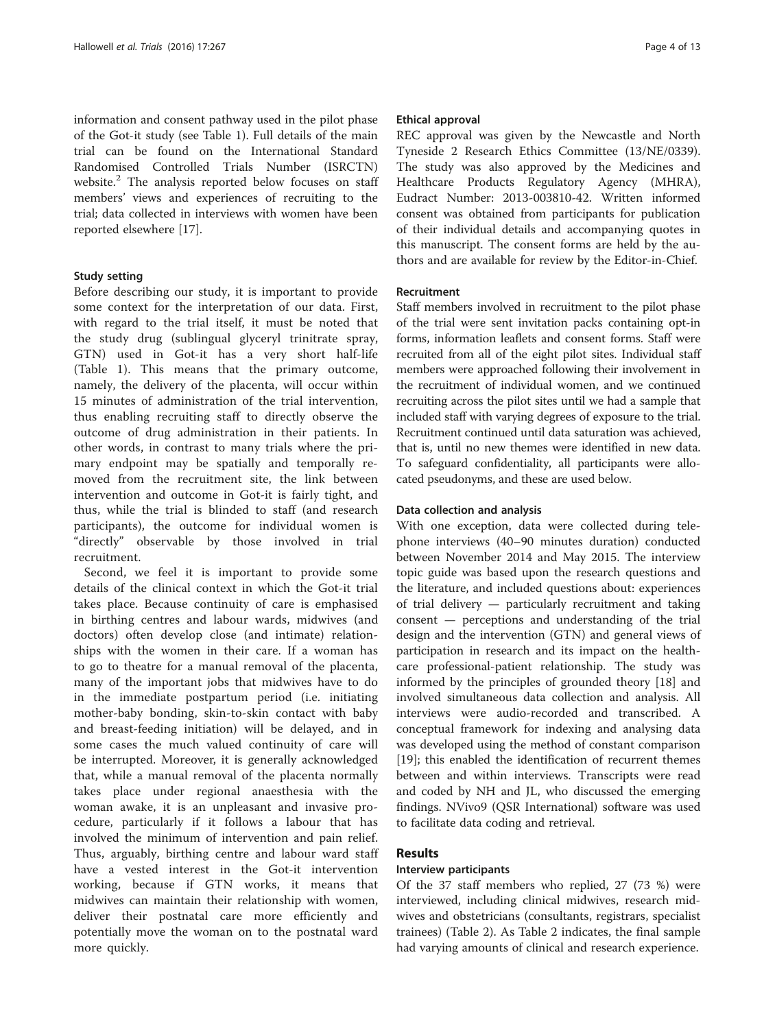information and consent pathway used in the pilot phase of the Got-it study (see Table [1\)](#page-1-0). Full details of the main trial can be found on the International Standard Randomised Controlled Trials Number (ISRCTN) website.<sup>2</sup> The analysis reported below focuses on staff members' views and experiences of recruiting to the trial; data collected in interviews with women have been reported elsewhere [\[17](#page-12-0)].

#### Study setting

Before describing our study, it is important to provide some context for the interpretation of our data. First, with regard to the trial itself, it must be noted that the study drug (sublingual glyceryl trinitrate spray, GTN) used in Got-it has a very short half-life (Table [1\)](#page-1-0). This means that the primary outcome, namely, the delivery of the placenta, will occur within 15 minutes of administration of the trial intervention, thus enabling recruiting staff to directly observe the outcome of drug administration in their patients. In other words, in contrast to many trials where the primary endpoint may be spatially and temporally removed from the recruitment site, the link between intervention and outcome in Got-it is fairly tight, and thus, while the trial is blinded to staff (and research participants), the outcome for individual women is "directly" observable by those involved in trial recruitment.

Second, we feel it is important to provide some details of the clinical context in which the Got-it trial takes place. Because continuity of care is emphasised in birthing centres and labour wards, midwives (and doctors) often develop close (and intimate) relationships with the women in their care. If a woman has to go to theatre for a manual removal of the placenta, many of the important jobs that midwives have to do in the immediate postpartum period (i.e. initiating mother-baby bonding, skin-to-skin contact with baby and breast-feeding initiation) will be delayed, and in some cases the much valued continuity of care will be interrupted. Moreover, it is generally acknowledged that, while a manual removal of the placenta normally takes place under regional anaesthesia with the woman awake, it is an unpleasant and invasive procedure, particularly if it follows a labour that has involved the minimum of intervention and pain relief. Thus, arguably, birthing centre and labour ward staff have a vested interest in the Got-it intervention working, because if GTN works, it means that midwives can maintain their relationship with women, deliver their postnatal care more efficiently and potentially move the woman on to the postnatal ward more quickly.

#### Ethical approval

REC approval was given by the Newcastle and North Tyneside 2 Research Ethics Committee (13/NE/0339). The study was also approved by the Medicines and Healthcare Products Regulatory Agency (MHRA), Eudract Number: 2013-003810-42. Written informed consent was obtained from participants for publication of their individual details and accompanying quotes in this manuscript. The consent forms are held by the authors and are available for review by the Editor-in-Chief.

## Recruitment

Staff members involved in recruitment to the pilot phase of the trial were sent invitation packs containing opt-in forms, information leaflets and consent forms. Staff were recruited from all of the eight pilot sites. Individual staff members were approached following their involvement in the recruitment of individual women, and we continued recruiting across the pilot sites until we had a sample that included staff with varying degrees of exposure to the trial. Recruitment continued until data saturation was achieved, that is, until no new themes were identified in new data. To safeguard confidentiality, all participants were allocated pseudonyms, and these are used below.

#### Data collection and analysis

With one exception, data were collected during telephone interviews (40–90 minutes duration) conducted between November 2014 and May 2015. The interview topic guide was based upon the research questions and the literature, and included questions about: experiences of trial delivery — particularly recruitment and taking consent — perceptions and understanding of the trial design and the intervention (GTN) and general views of participation in research and its impact on the healthcare professional-patient relationship. The study was informed by the principles of grounded theory [[18\]](#page-12-0) and involved simultaneous data collection and analysis. All interviews were audio-recorded and transcribed. A conceptual framework for indexing and analysing data was developed using the method of constant comparison [[19\]](#page-12-0); this enabled the identification of recurrent themes between and within interviews. Transcripts were read and coded by NH and JL, who discussed the emerging findings. NVivo9 (QSR International) software was used to facilitate data coding and retrieval.

## Results

#### Interview participants

Of the 37 staff members who replied, 27 (73 %) were interviewed, including clinical midwives, research midwives and obstetricians (consultants, registrars, specialist trainees) (Table [2](#page-4-0)). As Table [2](#page-4-0) indicates, the final sample had varying amounts of clinical and research experience.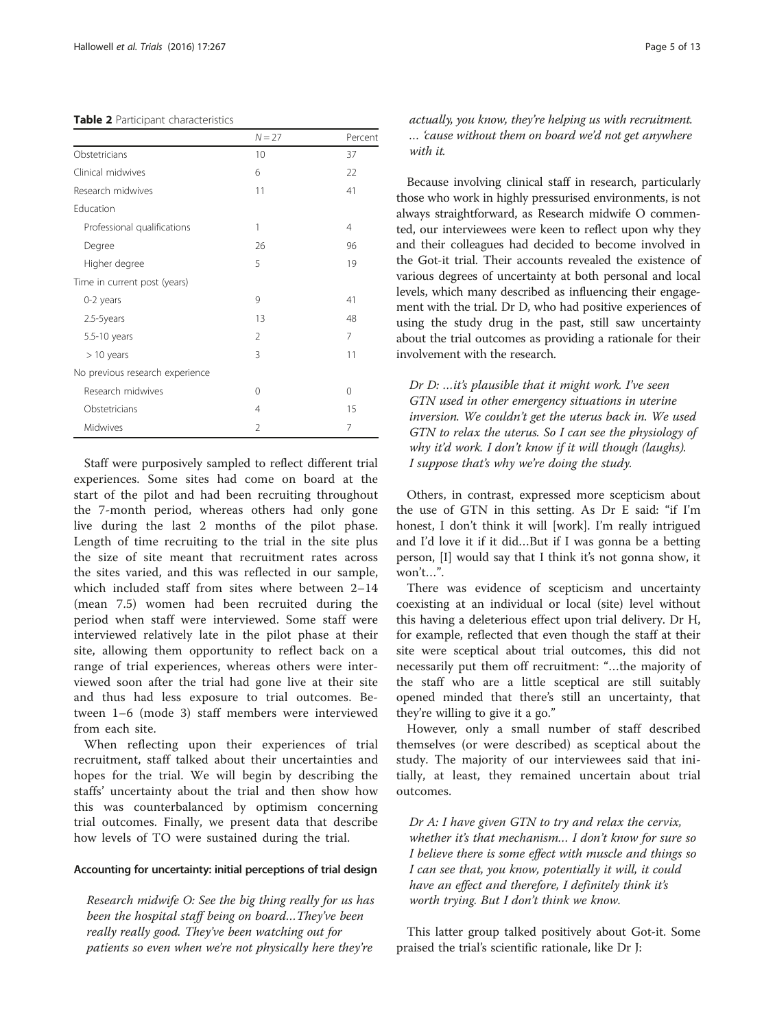#### <span id="page-4-0"></span>Table 2 Participant characteristics

|                                 | $N = 27$       | Percent |
|---------------------------------|----------------|---------|
| Obstetricians                   | 10             | 37      |
| Clinical midwives               | 6              | 22      |
| Research midwives               | 11             | 41      |
| Education                       |                |         |
| Professional qualifications     | 1              | 4       |
| Degree                          | 26             | 96      |
| Higher degree                   | 5              | 19      |
| Time in current post (years)    |                |         |
| 0-2 years                       | 9              | 41      |
| 2.5-5years                      | 13             | 48      |
| 5.5-10 years                    | $\mathfrak{D}$ | 7       |
| $>10$ years                     | 3              | 11      |
| No previous research experience |                |         |
| Research midwives               | $\Omega$       | 0       |
| Obstetricians                   | 4              | 15      |
| Midwives                        | $\mathcal{P}$  | 7       |

Staff were purposively sampled to reflect different trial experiences. Some sites had come on board at the start of the pilot and had been recruiting throughout the 7-month period, whereas others had only gone live during the last 2 months of the pilot phase. Length of time recruiting to the trial in the site plus the size of site meant that recruitment rates across the sites varied, and this was reflected in our sample, which included staff from sites where between 2–14 (mean 7.5) women had been recruited during the period when staff were interviewed. Some staff were interviewed relatively late in the pilot phase at their site, allowing them opportunity to reflect back on a range of trial experiences, whereas others were interviewed soon after the trial had gone live at their site and thus had less exposure to trial outcomes. Between 1–6 (mode 3) staff members were interviewed from each site.

When reflecting upon their experiences of trial recruitment, staff talked about their uncertainties and hopes for the trial. We will begin by describing the staffs' uncertainty about the trial and then show how this was counterbalanced by optimism concerning trial outcomes. Finally, we present data that describe how levels of TO were sustained during the trial.

#### Accounting for uncertainty: initial perceptions of trial design

Research midwife O: See the big thing really for us has been the hospital staff being on board…They've been really really good. They've been watching out for patients so even when we're not physically here they're

actually, you know, they're helping us with recruitment. … 'cause without them on board we'd not get anywhere with it.

Because involving clinical staff in research, particularly those who work in highly pressurised environments, is not always straightforward, as Research midwife O commented, our interviewees were keen to reflect upon why they and their colleagues had decided to become involved in the Got-it trial. Their accounts revealed the existence of various degrees of uncertainty at both personal and local levels, which many described as influencing their engagement with the trial. Dr D, who had positive experiences of using the study drug in the past, still saw uncertainty about the trial outcomes as providing a rationale for their involvement with the research.

Dr D: …it's plausible that it might work. I've seen GTN used in other emergency situations in uterine inversion. We couldn't get the uterus back in. We used GTN to relax the uterus. So I can see the physiology of why it'd work. I don't know if it will though (laughs). I suppose that's why we're doing the study.

Others, in contrast, expressed more scepticism about the use of GTN in this setting. As Dr E said: "if I'm honest, I don't think it will [work]. I'm really intrigued and I'd love it if it did…But if I was gonna be a betting person, [I] would say that I think it's not gonna show, it won't…".

There was evidence of scepticism and uncertainty coexisting at an individual or local (site) level without this having a deleterious effect upon trial delivery. Dr H, for example, reflected that even though the staff at their site were sceptical about trial outcomes, this did not necessarily put them off recruitment: "…the majority of the staff who are a little sceptical are still suitably opened minded that there's still an uncertainty, that they're willing to give it a go."

However, only a small number of staff described themselves (or were described) as sceptical about the study. The majority of our interviewees said that initially, at least, they remained uncertain about trial outcomes.

Dr A: I have given GTN to try and relax the cervix, whether it's that mechanism... I don't know for sure so I believe there is some effect with muscle and things so I can see that, you know, potentially it will, it could have an effect and therefore, I definitely think it's worth trying. But I don't think we know.

This latter group talked positively about Got-it. Some praised the trial's scientific rationale, like Dr J: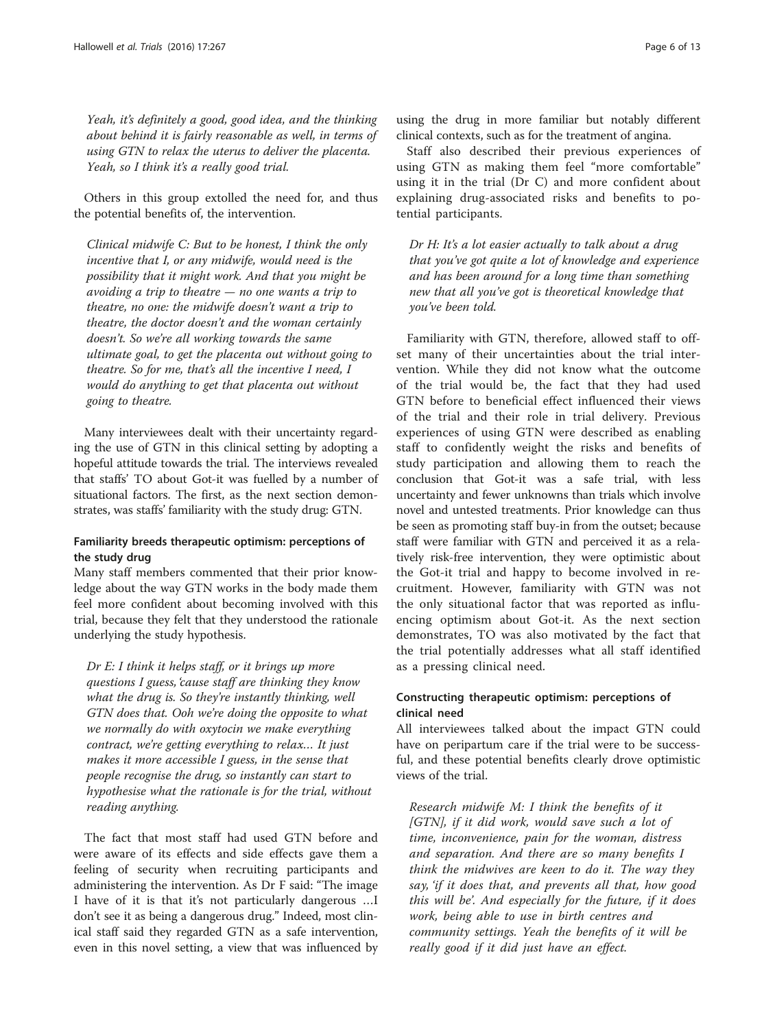Yeah, it's definitely a good, good idea, and the thinking about behind it is fairly reasonable as well, in terms of using GTN to relax the uterus to deliver the placenta. Yeah, so I think it's a really good trial.

Others in this group extolled the need for, and thus the potential benefits of, the intervention.

Clinical midwife C: But to be honest, I think the only incentive that I, or any midwife, would need is the possibility that it might work. And that you might be avoiding a trip to theatre  $-$  no one wants a trip to theatre, no one: the midwife doesn't want a trip to theatre, the doctor doesn't and the woman certainly doesn't. So we're all working towards the same ultimate goal, to get the placenta out without going to theatre. So for me, that's all the incentive I need, I would do anything to get that placenta out without going to theatre.

Many interviewees dealt with their uncertainty regarding the use of GTN in this clinical setting by adopting a hopeful attitude towards the trial. The interviews revealed that staffs' TO about Got-it was fuelled by a number of situational factors. The first, as the next section demonstrates, was staffs' familiarity with the study drug: GTN.

## Familiarity breeds therapeutic optimism: perceptions of the study drug

Many staff members commented that their prior knowledge about the way GTN works in the body made them feel more confident about becoming involved with this trial, because they felt that they understood the rationale underlying the study hypothesis.

Dr E: I think it helps staff, or it brings up more questions I guess, 'cause staff are thinking they know what the drug is. So they're instantly thinking, well GTN does that. Ooh we're doing the opposite to what we normally do with oxytocin we make everything contract, we're getting everything to relax… It just makes it more accessible I guess, in the sense that people recognise the drug, so instantly can start to hypothesise what the rationale is for the trial, without reading anything.

The fact that most staff had used GTN before and were aware of its effects and side effects gave them a feeling of security when recruiting participants and administering the intervention. As Dr F said: "The image I have of it is that it's not particularly dangerous …I don't see it as being a dangerous drug." Indeed, most clinical staff said they regarded GTN as a safe intervention, even in this novel setting, a view that was influenced by

using the drug in more familiar but notably different clinical contexts, such as for the treatment of angina.

Staff also described their previous experiences of using GTN as making them feel "more comfortable" using it in the trial (Dr C) and more confident about explaining drug-associated risks and benefits to potential participants.

Dr H: It's a lot easier actually to talk about a drug that you've got quite a lot of knowledge and experience and has been around for a long time than something new that all you've got is theoretical knowledge that you've been told.

Familiarity with GTN, therefore, allowed staff to offset many of their uncertainties about the trial intervention. While they did not know what the outcome of the trial would be, the fact that they had used GTN before to beneficial effect influenced their views of the trial and their role in trial delivery. Previous experiences of using GTN were described as enabling staff to confidently weight the risks and benefits of study participation and allowing them to reach the conclusion that Got-it was a safe trial, with less uncertainty and fewer unknowns than trials which involve novel and untested treatments. Prior knowledge can thus be seen as promoting staff buy-in from the outset; because staff were familiar with GTN and perceived it as a relatively risk-free intervention, they were optimistic about the Got-it trial and happy to become involved in recruitment. However, familiarity with GTN was not the only situational factor that was reported as influencing optimism about Got-it. As the next section demonstrates, TO was also motivated by the fact that the trial potentially addresses what all staff identified as a pressing clinical need.

## Constructing therapeutic optimism: perceptions of clinical need

All interviewees talked about the impact GTN could have on peripartum care if the trial were to be successful, and these potential benefits clearly drove optimistic views of the trial.

Research midwife M: I think the benefits of it [GTN], if it did work, would save such a lot of time, inconvenience, pain for the woman, distress and separation. And there are so many benefits I think the midwives are keen to do it. The way they say, 'if it does that, and prevents all that, how good this will be'. And especially for the future, if it does work, being able to use in birth centres and community settings. Yeah the benefits of it will be really good if it did just have an effect.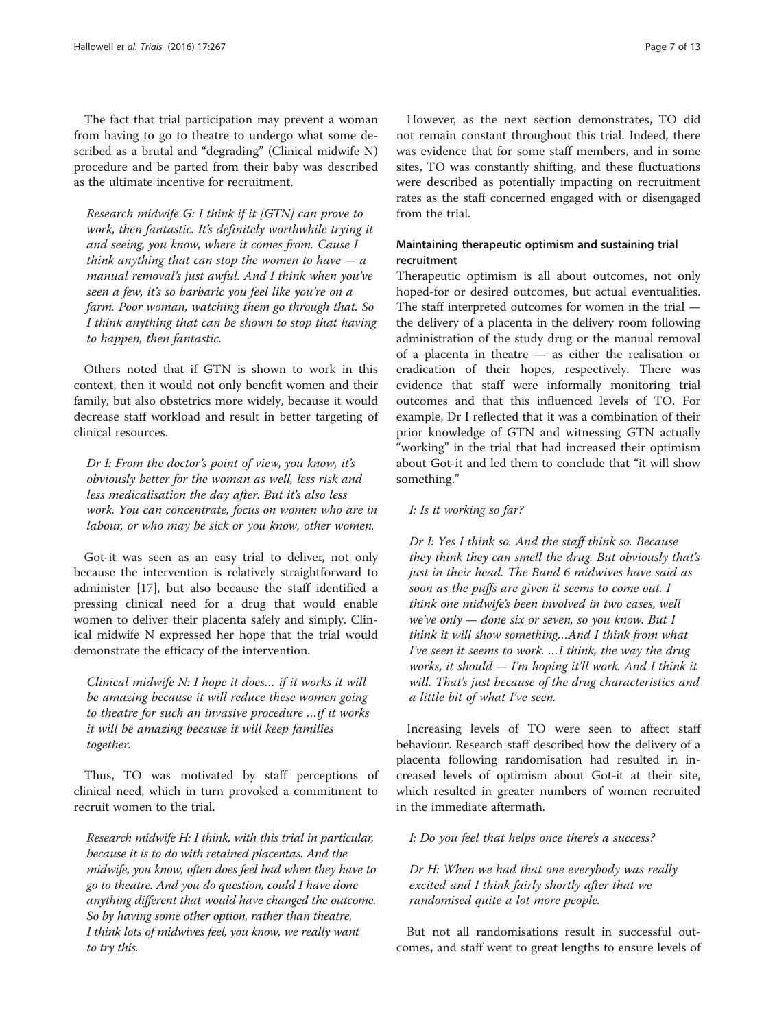The fact that trial participation may prevent a woman from having to go to theatre to undergo what some described as a brutal and "degrading" (Clinical midwife N) procedure and be parted from their baby was described as the ultimate incentive for recruitment.

Research midwife G: I think if it [GTN] can prove to work, then fantastic. It's definitely worthwhile trying it and seeing, you know, where it comes from. Cause I think anything that can stop the women to have  $-a$ manual removal's just awful. And I think when you've seen a few, it's so barbaric you feel like you're on a farm. Poor woman, watching them go through that. So I think anything that can be shown to stop that having to happen, then fantastic.

Others noted that if GTN is shown to work in this context, then it would not only benefit women and their family, but also obstetrics more widely, because it would decrease staff workload and result in better targeting of clinical resources.

Dr I: From the doctor's point of view, you know, it's obviously better for the woman as well, less risk and less medicalisation the day after. But it's also less work. You can concentrate, focus on women who are in labour, or who may be sick or you know, other women.

Got-it was seen as an easy trial to deliver, not only because the intervention is relatively straightforward to administer [[17\]](#page-12-0), but also because the staff identified a pressing clinical need for a drug that would enable women to deliver their placenta safely and simply. Clinical midwife N expressed her hope that the trial would demonstrate the efficacy of the intervention.

Clinical midwife N: I hope it does… if it works it will be amazing because it will reduce these women going to theatre for such an invasive procedure …if it works it will be amazing because it will keep families together.

Thus, TO was motivated by staff perceptions of clinical need, which in turn provoked a commitment to recruit women to the trial.

Research midwife H: I think, with this trial in particular, because it is to do with retained placentas. And the midwife, you know, often does feel bad when they have to go to theatre. And you do question, could I have done anything different that would have changed the outcome. So by having some other option, rather than theatre, I think lots of midwives feel, you know, we really want to try this.

However, as the next section demonstrates, TO did not remain constant throughout this trial. Indeed, there was evidence that for some staff members, and in some sites, TO was constantly shifting, and these fluctuations were described as potentially impacting on recruitment rates as the staff concerned engaged with or disengaged from the trial.

## Maintaining therapeutic optimism and sustaining trial recruitment

Therapeutic optimism is all about outcomes, not only hoped-for or desired outcomes, but actual eventualities. The staff interpreted outcomes for women in the trial the delivery of a placenta in the delivery room following administration of the study drug or the manual removal of a placenta in theatre — as either the realisation or eradication of their hopes, respectively. There was evidence that staff were informally monitoring trial outcomes and that this influenced levels of TO. For example, Dr I reflected that it was a combination of their prior knowledge of GTN and witnessing GTN actually "working" in the trial that had increased their optimism about Got-it and led them to conclude that "it will show something."

#### I: Is it working so far?

Dr I: Yes I think so. And the staff think so. Because they think they can smell the drug. But obviously that's just in their head. The Band 6 midwives have said as soon as the puffs are given it seems to come out. I think one midwife's been involved in two cases, well we've only  $-$  done six or seven, so you know. But I think it will show something…And I think from what I've seen it seems to work. …I think, the way the drug works, it should — I'm hoping it'll work. And I think it will. That's just because of the drug characteristics and a little bit of what I've seen.

Increasing levels of TO were seen to affect staff behaviour. Research staff described how the delivery of a placenta following randomisation had resulted in increased levels of optimism about Got-it at their site, which resulted in greater numbers of women recruited in the immediate aftermath.

#### I: Do you feel that helps once there's a success?

Dr H: When we had that one everybody was really excited and I think fairly shortly after that we randomised quite a lot more people.

But not all randomisations result in successful outcomes, and staff went to great lengths to ensure levels of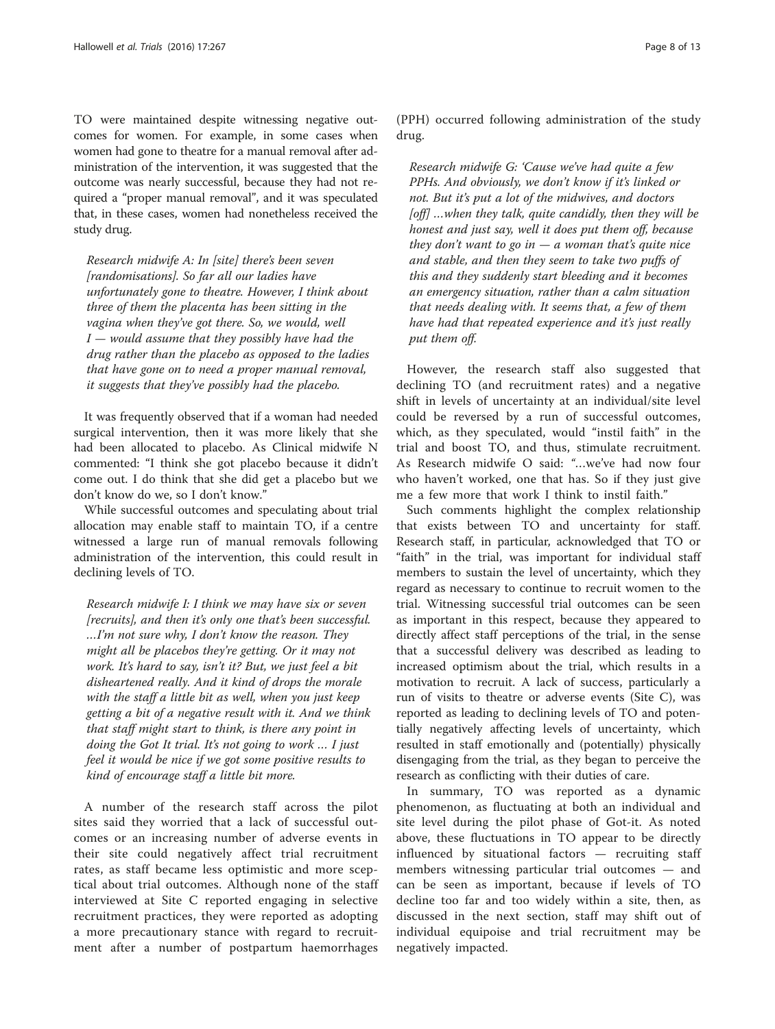TO were maintained despite witnessing negative outcomes for women. For example, in some cases when women had gone to theatre for a manual removal after administration of the intervention, it was suggested that the outcome was nearly successful, because they had not required a "proper manual removal", and it was speculated that, in these cases, women had nonetheless received the study drug.

Research midwife A: In [site] there's been seven [randomisations]. So far all our ladies have unfortunately gone to theatre. However, I think about three of them the placenta has been sitting in the vagina when they've got there. So, we would, well  $I$  — would assume that they possibly have had the drug rather than the placebo as opposed to the ladies that have gone on to need a proper manual removal, it suggests that they've possibly had the placebo.

It was frequently observed that if a woman had needed surgical intervention, then it was more likely that she had been allocated to placebo. As Clinical midwife N commented: "I think she got placebo because it didn't come out. I do think that she did get a placebo but we don't know do we, so I don't know."

While successful outcomes and speculating about trial allocation may enable staff to maintain TO, if a centre witnessed a large run of manual removals following administration of the intervention, this could result in declining levels of TO.

Research midwife I: I think we may have six or seven [recruits], and then it's only one that's been successful. …I'm not sure why, I don't know the reason. They might all be placebos they're getting. Or it may not work. It's hard to say, isn't it? But, we just feel a bit disheartened really. And it kind of drops the morale with the staff a little bit as well, when you just keep getting a bit of a negative result with it. And we think that staff might start to think, is there any point in doing the Got It trial. It's not going to work … I just feel it would be nice if we got some positive results to kind of encourage staff a little bit more.

A number of the research staff across the pilot sites said they worried that a lack of successful outcomes or an increasing number of adverse events in their site could negatively affect trial recruitment rates, as staff became less optimistic and more sceptical about trial outcomes. Although none of the staff interviewed at Site C reported engaging in selective recruitment practices, they were reported as adopting a more precautionary stance with regard to recruitment after a number of postpartum haemorrhages

(PPH) occurred following administration of the study drug.

Research midwife G: 'Cause we've had quite a few PPHs. And obviously, we don't know if it's linked or not. But it's put a lot of the midwives, and doctors [off] ... when they talk, quite candidly, then they will be honest and just say, well it does put them off, because they don't want to go in  $-a$  woman that's quite nice and stable, and then they seem to take two puffs of this and they suddenly start bleeding and it becomes an emergency situation, rather than a calm situation that needs dealing with. It seems that, a few of them have had that repeated experience and it's just really put them off.

However, the research staff also suggested that declining TO (and recruitment rates) and a negative shift in levels of uncertainty at an individual/site level could be reversed by a run of successful outcomes, which, as they speculated, would "instil faith" in the trial and boost TO, and thus, stimulate recruitment. As Research midwife O said: "…we've had now four who haven't worked, one that has. So if they just give me a few more that work I think to instil faith."

Such comments highlight the complex relationship that exists between TO and uncertainty for staff. Research staff, in particular, acknowledged that TO or "faith" in the trial, was important for individual staff members to sustain the level of uncertainty, which they regard as necessary to continue to recruit women to the trial. Witnessing successful trial outcomes can be seen as important in this respect, because they appeared to directly affect staff perceptions of the trial, in the sense that a successful delivery was described as leading to increased optimism about the trial, which results in a motivation to recruit. A lack of success, particularly a run of visits to theatre or adverse events (Site C), was reported as leading to declining levels of TO and potentially negatively affecting levels of uncertainty, which resulted in staff emotionally and (potentially) physically disengaging from the trial, as they began to perceive the research as conflicting with their duties of care.

In summary, TO was reported as a dynamic phenomenon, as fluctuating at both an individual and site level during the pilot phase of Got-it. As noted above, these fluctuations in TO appear to be directly influenced by situational factors — recruiting staff members witnessing particular trial outcomes — and can be seen as important, because if levels of TO decline too far and too widely within a site, then, as discussed in the next section, staff may shift out of individual equipoise and trial recruitment may be negatively impacted.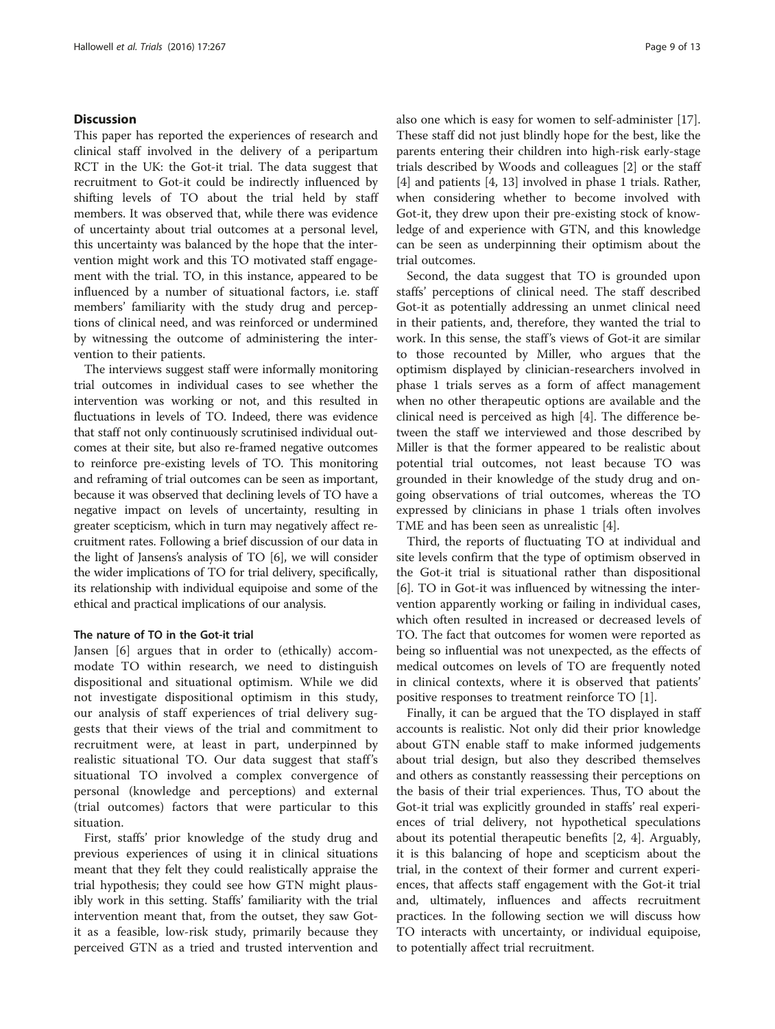#### **Discussion**

This paper has reported the experiences of research and clinical staff involved in the delivery of a peripartum RCT in the UK: the Got-it trial. The data suggest that recruitment to Got-it could be indirectly influenced by shifting levels of TO about the trial held by staff members. It was observed that, while there was evidence of uncertainty about trial outcomes at a personal level, this uncertainty was balanced by the hope that the intervention might work and this TO motivated staff engagement with the trial. TO, in this instance, appeared to be influenced by a number of situational factors, i.e. staff members' familiarity with the study drug and perceptions of clinical need, and was reinforced or undermined by witnessing the outcome of administering the intervention to their patients.

The interviews suggest staff were informally monitoring trial outcomes in individual cases to see whether the intervention was working or not, and this resulted in fluctuations in levels of TO. Indeed, there was evidence that staff not only continuously scrutinised individual outcomes at their site, but also re-framed negative outcomes to reinforce pre-existing levels of TO. This monitoring and reframing of trial outcomes can be seen as important, because it was observed that declining levels of TO have a negative impact on levels of uncertainty, resulting in greater scepticism, which in turn may negatively affect recruitment rates. Following a brief discussion of our data in the light of Jansens's analysis of TO [\[6](#page-12-0)], we will consider the wider implications of TO for trial delivery, specifically, its relationship with individual equipoise and some of the ethical and practical implications of our analysis.

#### The nature of TO in the Got-it trial

Jansen [[6](#page-12-0)] argues that in order to (ethically) accommodate TO within research, we need to distinguish dispositional and situational optimism. While we did not investigate dispositional optimism in this study, our analysis of staff experiences of trial delivery suggests that their views of the trial and commitment to recruitment were, at least in part, underpinned by realistic situational TO. Our data suggest that staff's situational TO involved a complex convergence of personal (knowledge and perceptions) and external (trial outcomes) factors that were particular to this situation.

First, staffs' prior knowledge of the study drug and previous experiences of using it in clinical situations meant that they felt they could realistically appraise the trial hypothesis; they could see how GTN might plausibly work in this setting. Staffs' familiarity with the trial intervention meant that, from the outset, they saw Gotit as a feasible, low-risk study, primarily because they perceived GTN as a tried and trusted intervention and

also one which is easy for women to self-administer [\[17](#page-12-0)]. These staff did not just blindly hope for the best, like the parents entering their children into high-risk early-stage trials described by Woods and colleagues [[2\]](#page-12-0) or the staff [[4\]](#page-12-0) and patients [[4, 13\]](#page-12-0) involved in phase 1 trials. Rather, when considering whether to become involved with Got-it, they drew upon their pre-existing stock of knowledge of and experience with GTN, and this knowledge can be seen as underpinning their optimism about the trial outcomes.

Second, the data suggest that TO is grounded upon staffs' perceptions of clinical need. The staff described Got-it as potentially addressing an unmet clinical need in their patients, and, therefore, they wanted the trial to work. In this sense, the staff's views of Got-it are similar to those recounted by Miller, who argues that the optimism displayed by clinician-researchers involved in phase 1 trials serves as a form of affect management when no other therapeutic options are available and the clinical need is perceived as high [\[4](#page-12-0)]. The difference between the staff we interviewed and those described by Miller is that the former appeared to be realistic about potential trial outcomes, not least because TO was grounded in their knowledge of the study drug and ongoing observations of trial outcomes, whereas the TO expressed by clinicians in phase 1 trials often involves TME and has been seen as unrealistic [\[4](#page-12-0)].

Third, the reports of fluctuating TO at individual and site levels confirm that the type of optimism observed in the Got-it trial is situational rather than dispositional [[6\]](#page-12-0). TO in Got-it was influenced by witnessing the intervention apparently working or failing in individual cases, which often resulted in increased or decreased levels of TO. The fact that outcomes for women were reported as being so influential was not unexpected, as the effects of medical outcomes on levels of TO are frequently noted in clinical contexts, where it is observed that patients' positive responses to treatment reinforce TO [[1\]](#page-12-0).

Finally, it can be argued that the TO displayed in staff accounts is realistic. Not only did their prior knowledge about GTN enable staff to make informed judgements about trial design, but also they described themselves and others as constantly reassessing their perceptions on the basis of their trial experiences. Thus, TO about the Got-it trial was explicitly grounded in staffs' real experiences of trial delivery, not hypothetical speculations about its potential therapeutic benefits [\[2](#page-12-0), [4](#page-12-0)]. Arguably, it is this balancing of hope and scepticism about the trial, in the context of their former and current experiences, that affects staff engagement with the Got-it trial and, ultimately, influences and affects recruitment practices. In the following section we will discuss how TO interacts with uncertainty, or individual equipoise, to potentially affect trial recruitment.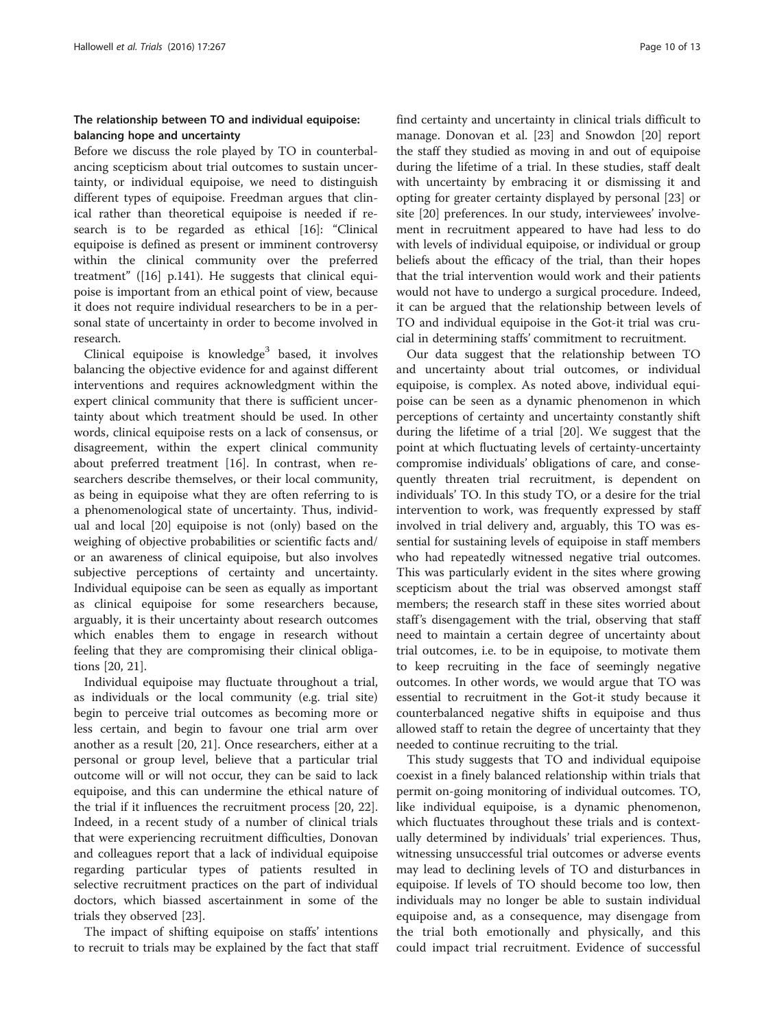## The relationship between TO and individual equipoise: balancing hope and uncertainty

Before we discuss the role played by TO in counterbalancing scepticism about trial outcomes to sustain uncertainty, or individual equipoise, we need to distinguish different types of equipoise. Freedman argues that clinical rather than theoretical equipoise is needed if research is to be regarded as ethical [\[16](#page-12-0)]: "Clinical equipoise is defined as present or imminent controversy within the clinical community over the preferred treatment" ([\[16\]](#page-12-0) p.141). He suggests that clinical equipoise is important from an ethical point of view, because it does not require individual researchers to be in a personal state of uncertainty in order to become involved in research.

Clinical equipoise is knowledge<sup>3</sup> based, it involves balancing the objective evidence for and against different interventions and requires acknowledgment within the expert clinical community that there is sufficient uncertainty about which treatment should be used. In other words, clinical equipoise rests on a lack of consensus, or disagreement, within the expert clinical community about preferred treatment [\[16](#page-12-0)]. In contrast, when researchers describe themselves, or their local community, as being in equipoise what they are often referring to is a phenomenological state of uncertainty. Thus, individual and local [[20\]](#page-12-0) equipoise is not (only) based on the weighing of objective probabilities or scientific facts and/ or an awareness of clinical equipoise, but also involves subjective perceptions of certainty and uncertainty. Individual equipoise can be seen as equally as important as clinical equipoise for some researchers because, arguably, it is their uncertainty about research outcomes which enables them to engage in research without feeling that they are compromising their clinical obligations [[20, 21\]](#page-12-0).

Individual equipoise may fluctuate throughout a trial, as individuals or the local community (e.g. trial site) begin to perceive trial outcomes as becoming more or less certain, and begin to favour one trial arm over another as a result [\[20](#page-12-0), [21](#page-12-0)]. Once researchers, either at a personal or group level, believe that a particular trial outcome will or will not occur, they can be said to lack equipoise, and this can undermine the ethical nature of the trial if it influences the recruitment process [\[20, 22](#page-12-0)]. Indeed, in a recent study of a number of clinical trials that were experiencing recruitment difficulties, Donovan and colleagues report that a lack of individual equipoise regarding particular types of patients resulted in selective recruitment practices on the part of individual doctors, which biassed ascertainment in some of the trials they observed [[23](#page-12-0)].

The impact of shifting equipoise on staffs' intentions to recruit to trials may be explained by the fact that staff find certainty and uncertainty in clinical trials difficult to manage. Donovan et al. [\[23\]](#page-12-0) and Snowdon [[20\]](#page-12-0) report the staff they studied as moving in and out of equipoise during the lifetime of a trial. In these studies, staff dealt with uncertainty by embracing it or dismissing it and opting for greater certainty displayed by personal [[23](#page-12-0)] or site [\[20\]](#page-12-0) preferences. In our study, interviewees' involvement in recruitment appeared to have had less to do with levels of individual equipoise, or individual or group beliefs about the efficacy of the trial, than their hopes that the trial intervention would work and their patients would not have to undergo a surgical procedure. Indeed, it can be argued that the relationship between levels of TO and individual equipoise in the Got-it trial was crucial in determining staffs' commitment to recruitment.

Our data suggest that the relationship between TO and uncertainty about trial outcomes, or individual equipoise, is complex. As noted above, individual equipoise can be seen as a dynamic phenomenon in which perceptions of certainty and uncertainty constantly shift during the lifetime of a trial [\[20\]](#page-12-0). We suggest that the point at which fluctuating levels of certainty-uncertainty compromise individuals' obligations of care, and consequently threaten trial recruitment, is dependent on individuals' TO. In this study TO, or a desire for the trial intervention to work, was frequently expressed by staff involved in trial delivery and, arguably, this TO was essential for sustaining levels of equipoise in staff members who had repeatedly witnessed negative trial outcomes. This was particularly evident in the sites where growing scepticism about the trial was observed amongst staff members; the research staff in these sites worried about staff's disengagement with the trial, observing that staff need to maintain a certain degree of uncertainty about trial outcomes, i.e. to be in equipoise, to motivate them to keep recruiting in the face of seemingly negative outcomes. In other words, we would argue that TO was essential to recruitment in the Got-it study because it counterbalanced negative shifts in equipoise and thus allowed staff to retain the degree of uncertainty that they needed to continue recruiting to the trial.

This study suggests that TO and individual equipoise coexist in a finely balanced relationship within trials that permit on-going monitoring of individual outcomes. TO, like individual equipoise, is a dynamic phenomenon, which fluctuates throughout these trials and is contextually determined by individuals' trial experiences. Thus, witnessing unsuccessful trial outcomes or adverse events may lead to declining levels of TO and disturbances in equipoise. If levels of TO should become too low, then individuals may no longer be able to sustain individual equipoise and, as a consequence, may disengage from the trial both emotionally and physically, and this could impact trial recruitment. Evidence of successful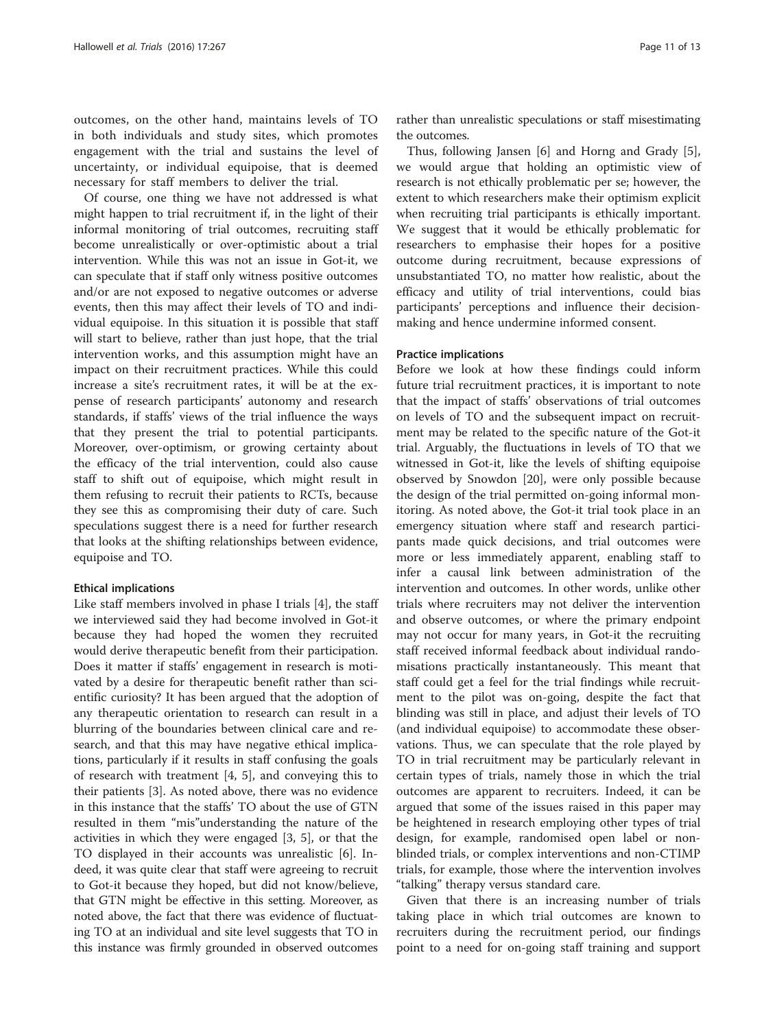outcomes, on the other hand, maintains levels of TO in both individuals and study sites, which promotes engagement with the trial and sustains the level of uncertainty, or individual equipoise, that is deemed necessary for staff members to deliver the trial.

Of course, one thing we have not addressed is what might happen to trial recruitment if, in the light of their informal monitoring of trial outcomes, recruiting staff become unrealistically or over-optimistic about a trial intervention. While this was not an issue in Got-it, we can speculate that if staff only witness positive outcomes and/or are not exposed to negative outcomes or adverse events, then this may affect their levels of TO and individual equipoise. In this situation it is possible that staff will start to believe, rather than just hope, that the trial intervention works, and this assumption might have an impact on their recruitment practices. While this could increase a site's recruitment rates, it will be at the expense of research participants' autonomy and research standards, if staffs' views of the trial influence the ways that they present the trial to potential participants. Moreover, over-optimism, or growing certainty about the efficacy of the trial intervention, could also cause staff to shift out of equipoise, which might result in them refusing to recruit their patients to RCTs, because they see this as compromising their duty of care. Such speculations suggest there is a need for further research that looks at the shifting relationships between evidence, equipoise and TO.

#### Ethical implications

Like staff members involved in phase I trials [\[4](#page-12-0)], the staff we interviewed said they had become involved in Got-it because they had hoped the women they recruited would derive therapeutic benefit from their participation. Does it matter if staffs' engagement in research is motivated by a desire for therapeutic benefit rather than scientific curiosity? It has been argued that the adoption of any therapeutic orientation to research can result in a blurring of the boundaries between clinical care and research, and that this may have negative ethical implications, particularly if it results in staff confusing the goals of research with treatment [\[4, 5\]](#page-12-0), and conveying this to their patients [\[3](#page-12-0)]. As noted above, there was no evidence in this instance that the staffs' TO about the use of GTN resulted in them "mis"understanding the nature of the activities in which they were engaged [\[3](#page-12-0), [5](#page-12-0)], or that the TO displayed in their accounts was unrealistic [[6](#page-12-0)]. Indeed, it was quite clear that staff were agreeing to recruit to Got-it because they hoped, but did not know/believe, that GTN might be effective in this setting. Moreover, as noted above, the fact that there was evidence of fluctuating TO at an individual and site level suggests that TO in this instance was firmly grounded in observed outcomes rather than unrealistic speculations or staff misestimating the outcomes.

Thus, following Jansen [\[6](#page-12-0)] and Horng and Grady [\[5](#page-12-0)], we would argue that holding an optimistic view of research is not ethically problematic per se; however, the extent to which researchers make their optimism explicit when recruiting trial participants is ethically important. We suggest that it would be ethically problematic for researchers to emphasise their hopes for a positive outcome during recruitment, because expressions of unsubstantiated TO, no matter how realistic, about the efficacy and utility of trial interventions, could bias participants' perceptions and influence their decisionmaking and hence undermine informed consent.

#### Practice implications

Before we look at how these findings could inform future trial recruitment practices, it is important to note that the impact of staffs' observations of trial outcomes on levels of TO and the subsequent impact on recruitment may be related to the specific nature of the Got-it trial. Arguably, the fluctuations in levels of TO that we witnessed in Got-it, like the levels of shifting equipoise observed by Snowdon [[20\]](#page-12-0), were only possible because the design of the trial permitted on-going informal monitoring. As noted above, the Got-it trial took place in an emergency situation where staff and research participants made quick decisions, and trial outcomes were more or less immediately apparent, enabling staff to infer a causal link between administration of the intervention and outcomes. In other words, unlike other trials where recruiters may not deliver the intervention and observe outcomes, or where the primary endpoint may not occur for many years, in Got-it the recruiting staff received informal feedback about individual randomisations practically instantaneously. This meant that staff could get a feel for the trial findings while recruitment to the pilot was on-going, despite the fact that blinding was still in place, and adjust their levels of TO (and individual equipoise) to accommodate these observations. Thus, we can speculate that the role played by TO in trial recruitment may be particularly relevant in certain types of trials, namely those in which the trial outcomes are apparent to recruiters. Indeed, it can be argued that some of the issues raised in this paper may be heightened in research employing other types of trial design, for example, randomised open label or nonblinded trials, or complex interventions and non-CTIMP trials, for example, those where the intervention involves "talking" therapy versus standard care.

Given that there is an increasing number of trials taking place in which trial outcomes are known to recruiters during the recruitment period, our findings point to a need for on-going staff training and support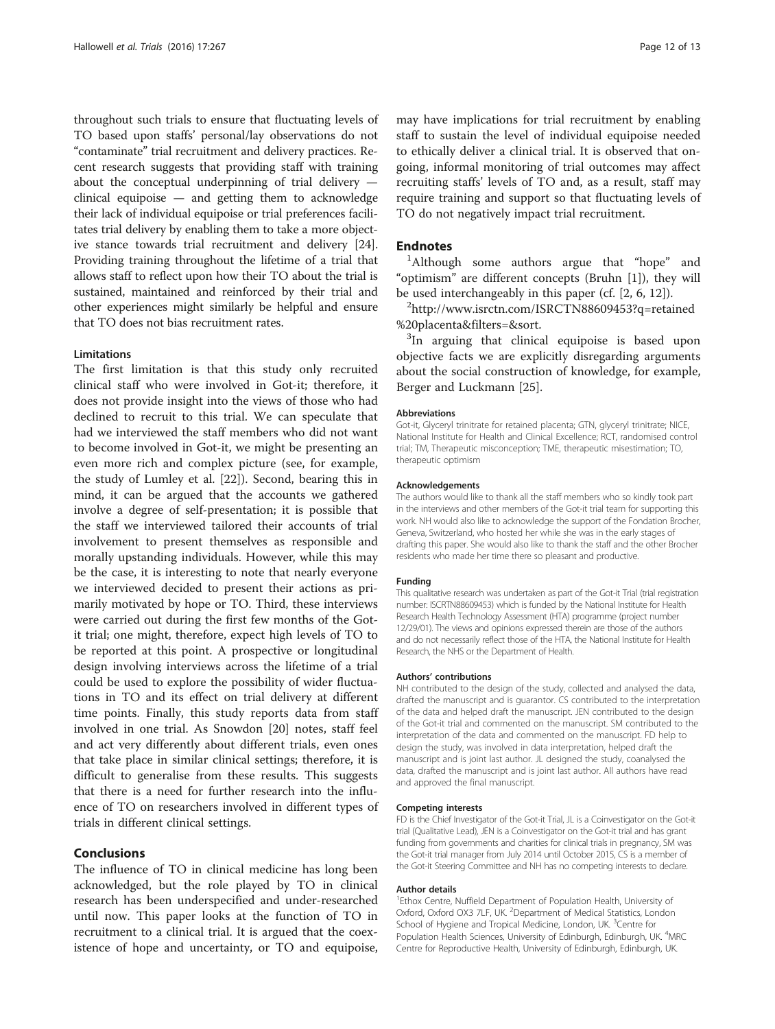throughout such trials to ensure that fluctuating levels of TO based upon staffs' personal/lay observations do not "contaminate" trial recruitment and delivery practices. Recent research suggests that providing staff with training about the conceptual underpinning of trial delivery clinical equipoise — and getting them to acknowledge their lack of individual equipoise or trial preferences facilitates trial delivery by enabling them to take a more objective stance towards trial recruitment and delivery [[24](#page-12-0)]. Providing training throughout the lifetime of a trial that allows staff to reflect upon how their TO about the trial is sustained, maintained and reinforced by their trial and other experiences might similarly be helpful and ensure that TO does not bias recruitment rates.

#### Limitations

The first limitation is that this study only recruited clinical staff who were involved in Got-it; therefore, it does not provide insight into the views of those who had declined to recruit to this trial. We can speculate that had we interviewed the staff members who did not want to become involved in Got-it, we might be presenting an even more rich and complex picture (see, for example, the study of Lumley et al. [\[22](#page-12-0)]). Second, bearing this in mind, it can be argued that the accounts we gathered involve a degree of self-presentation; it is possible that the staff we interviewed tailored their accounts of trial involvement to present themselves as responsible and morally upstanding individuals. However, while this may be the case, it is interesting to note that nearly everyone we interviewed decided to present their actions as primarily motivated by hope or TO. Third, these interviews were carried out during the first few months of the Gotit trial; one might, therefore, expect high levels of TO to be reported at this point. A prospective or longitudinal design involving interviews across the lifetime of a trial could be used to explore the possibility of wider fluctuations in TO and its effect on trial delivery at different time points. Finally, this study reports data from staff involved in one trial. As Snowdon [[20](#page-12-0)] notes, staff feel and act very differently about different trials, even ones that take place in similar clinical settings; therefore, it is difficult to generalise from these results. This suggests that there is a need for further research into the influence of TO on researchers involved in different types of trials in different clinical settings.

#### Conclusions

The influence of TO in clinical medicine has long been acknowledged, but the role played by TO in clinical research has been underspecified and under-researched until now. This paper looks at the function of TO in recruitment to a clinical trial. It is argued that the coexistence of hope and uncertainty, or TO and equipoise,

may have implications for trial recruitment by enabling staff to sustain the level of individual equipoise needed to ethically deliver a clinical trial. It is observed that ongoing, informal monitoring of trial outcomes may affect recruiting staffs' levels of TO and, as a result, staff may require training and support so that fluctuating levels of TO do not negatively impact trial recruitment.

#### **Endnotes**

<sup>1</sup>Although some authors argue that "hope" and "optimism" are different concepts (Bruhn [\[1](#page-12-0)]), they will be used interchangeably in this paper (cf.  $[2, 6, 12]$  $[2, 6, 12]$  $[2, 6, 12]$  $[2, 6, 12]$  $[2, 6, 12]$ ).

<sup>2</sup>[http://www.isrctn.com/ISRCTN88609453?q=retained](http://www.isrctn.com/ISRCTN88609453?q=retained%20placenta&filters=&sort) [%20placenta&filters=&sort](http://www.isrctn.com/ISRCTN88609453?q=retained%20placenta&filters=&sort). <sup>3</sup>

<sup>3</sup>In arguing that clinical equipoise is based upon objective facts we are explicitly disregarding arguments about the social construction of knowledge, for example, Berger and Luckmann [\[25\]](#page-12-0).

#### Abbreviations

Got-it, Glyceryl trinitrate for retained placenta; GTN, glyceryl trinitrate; NICE, National Institute for Health and Clinical Excellence; RCT, randomised control trial; TM, Therapeutic misconception; TME, therapeutic misestimation; TO, therapeutic optimism

#### Acknowledgements

The authors would like to thank all the staff members who so kindly took part in the interviews and other members of the Got-it trial team for supporting this work. NH would also like to acknowledge the support of the Fondation Brocher, Geneva, Switzerland, who hosted her while she was in the early stages of drafting this paper. She would also like to thank the staff and the other Brocher residents who made her time there so pleasant and productive.

#### Funding

This qualitative research was undertaken as part of the Got-it Trial (trial registration number: ISCRTN88609453) which is funded by the National Institute for Health Research Health Technology Assessment (HTA) programme (project number 12/29/01). The views and opinions expressed therein are those of the authors and do not necessarily reflect those of the HTA, the National Institute for Health Research, the NHS or the Department of Health.

#### Authors' contributions

NH contributed to the design of the study, collected and analysed the data, drafted the manuscript and is guarantor. CS contributed to the interpretation of the data and helped draft the manuscript. JEN contributed to the design of the Got-it trial and commented on the manuscript. SM contributed to the interpretation of the data and commented on the manuscript. FD help to design the study, was involved in data interpretation, helped draft the manuscript and is joint last author. JL designed the study, coanalysed the data, drafted the manuscript and is joint last author. All authors have read and approved the final manuscript.

#### Competing interests

FD is the Chief Investigator of the Got-it Trial, JL is a Coinvestigator on the Got-it trial (Qualitative Lead), JEN is a Coinvestigator on the Got-it trial and has grant funding from governments and charities for clinical trials in pregnancy, SM was the Got-it trial manager from July 2014 until October 2015, CS is a member of the Got-it Steering Committee and NH has no competing interests to declare.

#### Author details

<sup>1</sup> Ethox Centre, Nuffield Department of Population Health, University of Oxford, Oxford OX3 7LF, UK. <sup>2</sup> Department of Medical Statistics, London School of Hygiene and Tropical Medicine, London, UK. <sup>3</sup>Centre for Population Health Sciences, University of Edinburgh, Edinburgh, UK. <sup>4</sup>MRC Centre for Reproductive Health, University of Edinburgh, Edinburgh, UK.